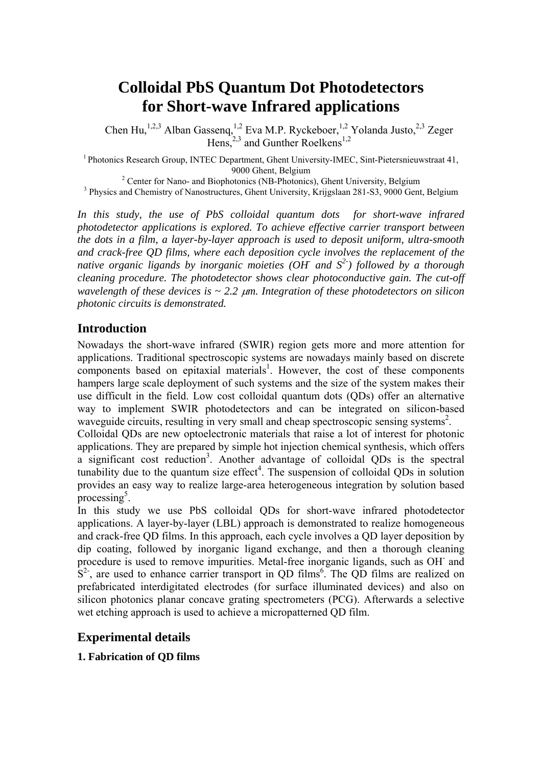# **Colloidal PbS Quantum Dot Photodetectors for Short-wave Infrared applications**

Chen Hu,<sup>1,2,3</sup> Alban Gassenq,<sup>1,2</sup> Eva M.P. Ryckeboer,<sup>1,2</sup> Yolanda Justo,<sup>2,3</sup> Zeger Hens, $2,3$  and Gunther Roelkens<sup>1,2</sup>

<sup>1</sup> Photonics Research Group, INTEC Department, Ghent University-IMEC, Sint-Pietersnieuwstraat 41, 9000 Ghent, Belgium<br><sup>2</sup> Center for Nano, and Biophotoniae (NB, Bhotoniae

<sup>2</sup> Center for Nano- and Biophotonics (NB-Photonics), Ghent University, Belgium <sup>3</sup><br><sup>3</sup> Physics and Chamistry of Nanostrustures, Ghant University, Kriiselean 281, 82, 0000 Gont <sup>3</sup> Physics and Chemistry of Nanostructures, Ghent University, Krijgslaan 281-S3, 9000 Gent, Belgium

In this study, the use of PbS colloidal quantum dots for short-wave infrared *photodetector applications is explored. To achieve effective carrier transport between the dots in a film, a layer-by-layer approach is used to deposit uniform, ultra-smooth and crack-free QD films, where each deposition cycle involves the replacement of the native organic ligands by inorganic moieties (OH- and S2-) followed by a thorough cleaning procedure. The photodetector shows clear photoconductive gain. The cut-off wavelength of these devices is ~ 2.2* μ*m. Integration of these photodetectors on silicon photonic circuits is demonstrated.* 

# **Introduction**

Nowadays the short-wave infrared (SWIR) region gets more and more attention for applications. Traditional spectroscopic systems are nowadays mainly based on discrete components based on epitaxial materials<sup>1</sup>. However, the cost of these components hampers large scale deployment of such systems and the size of the system makes their use difficult in the field. Low cost colloidal quantum dots (QDs) offer an alternative way to implement SWIR photodetectors and can be integrated on silicon-based waveguide circuits, resulting in very small and cheap spectroscopic sensing systems<sup>2</sup>.

Colloidal QDs are new optoelectronic materials that raise a lot of interest for photonic applications. They are prepared by simple hot injection chemical synthesis, which offers a significant cost reduction<sup>3</sup>. Another advantage of colloidal QDs is the spectral tunability due to the quantum size effect<sup>4</sup>. The suspension of colloidal QDs in solution provides an easy way to realize large-area heterogeneous integration by solution based processing $5$ .

In this study we use PbS colloidal QDs for short-wave infrared photodetector applications. A layer-by-layer (LBL) approach is demonstrated to realize homogeneous and crack-free QD films. In this approach, each cycle involves a QD layer deposition by dip coating, followed by inorganic ligand exchange, and then a thorough cleaning procedure is used to remove impurities. Metal-free inorganic ligands, such as OH and  $S<sup>2</sup>$ , are used to enhance carrier transport in QD films<sup>6</sup>. The QD films are realized on prefabricated interdigitated electrodes (for surface illuminated devices) and also on silicon photonics planar concave grating spectrometers (PCG). Afterwards a selective wet etching approach is used to achieve a micropatterned QD film.

### **Experimental details**

#### **1. Fabrication of QD films**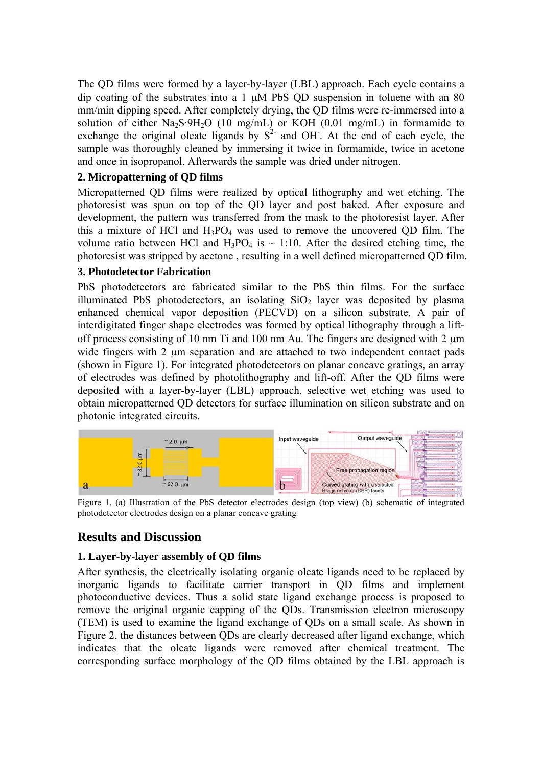The QD films were formed by a layer-by-layer (LBL) approach. Each cycle contains a dip coating of the substrates into a 1 μM PbS QD suspension in toluene with an 80 mm/min dipping speed. After completely drying, the QD films were re-immersed into a solution of either  $\text{Na}_2\text{S}\cdot9\text{H}_2\text{O}$  (10 mg/mL) or KOH (0.01 mg/mL) in formamide to exchange the original oleate ligands by  $S<sup>2</sup>$  and OH. At the end of each cycle, the sample was thoroughly cleaned by immersing it twice in formamide, twice in acetone and once in isopropanol. Afterwards the sample was dried under nitrogen.

#### **2. Micropatterning of QD films**

Micropatterned QD films were realized by optical lithography and wet etching. The photoresist was spun on top of the QD layer and post baked. After exposure and development, the pattern was transferred from the mask to the photoresist layer. After this a mixture of HCl and  $H_3PO_4$  was used to remove the uncovered QD film. The volume ratio between HCl and  $H_3PO_4$  is  $\sim 1:10$ . After the desired etching time, the photoresist was stripped by acetone , resulting in a well defined micropatterned QD film.

#### **3. Photodetector Fabrication**

PbS photodetectors are fabricated similar to the PbS thin films. For the surface illuminated PbS photodetectors, an isolating  $SiO<sub>2</sub>$  layer was deposited by plasma enhanced chemical vapor deposition (PECVD) on a silicon substrate. A pair of interdigitated finger shape electrodes was formed by optical lithography through a liftoff process consisting of 10 nm Ti and 100 nm Au. The fingers are designed with 2 μm wide fingers with 2 μm separation and are attached to two independent contact pads (shown in Figure 1). For integrated photodetectors on planar concave gratings, an array of electrodes was defined by photolithography and lift-off. After the QD films were deposited with a layer-by-layer (LBL) approach, selective wet etching was used to obtain micropatterned QD detectors for surface illumination on silicon substrate and on photonic integrated circuits.



Figure 1. (a) Illustration of the PbS detector electrodes design (top view) (b) schematic of integrated photodetector electrodes design on a planar concave grating

# **Results and Discussion**

#### **1. Layer-by-layer assembly of QD films**

After synthesis, the electrically isolating organic oleate ligands need to be replaced by inorganic ligands to facilitate carrier transport in QD films and implement photoconductive devices. Thus a solid state ligand exchange process is proposed to remove the original organic capping of the QDs. Transmission electron microscopy (TEM) is used to examine the ligand exchange of QDs on a small scale. As shown in Figure 2, the distances between QDs are clearly decreased after ligand exchange, which indicates that the oleate ligands were removed after chemical treatment. The corresponding surface morphology of the QD films obtained by the LBL approach is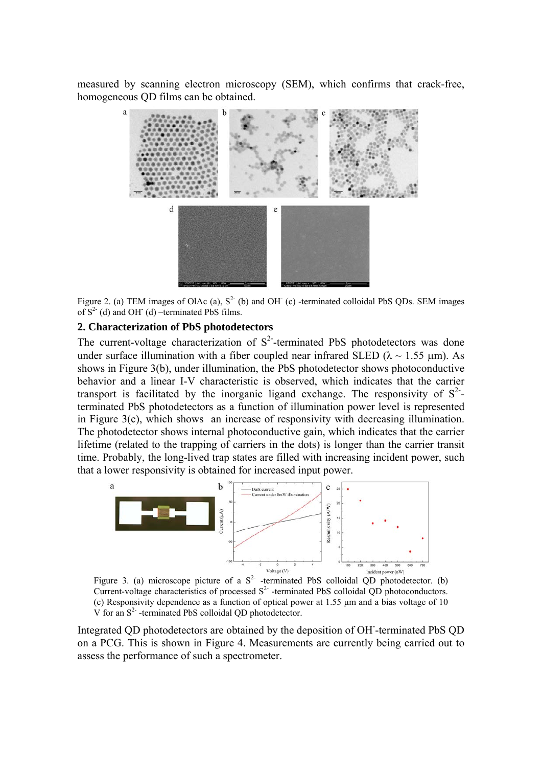measured by scanning electron microscopy (SEM), which confirms that crack-free, homogeneous QD films can be obtained.



Figure 2. (a) TEM images of OlAc (a),  $S<sup>2</sup>$  (b) and OH (c) -terminated colloidal PbS QDs. SEM images of  $S^2$  (d) and OH (d) –terminated PbS films.

#### **2. Characterization of PbS photodetectors**

The current-voltage characterization of  $S<sup>2</sup>$ -terminated PbS photodetectors was done under surface illumination with a fiber coupled near infrared SLED ( $\lambda \sim 1.55$  µm). As shows in Figure 3(b), under illumination, the PbS photodetector shows photoconductive behavior and a linear I-V characteristic is observed, which indicates that the carrier transport is facilitated by the inorganic ligand exchange. The responsivity of  $S^2$ terminated PbS photodetectors as a function of illumination power level is represented in Figure 3(c), which shows an increase of responsivity with decreasing illumination. The photodetector shows internal photoconductive gain, which indicates that the carrier lifetime (related to the trapping of carriers in the dots) is longer than the carrier transit time. Probably, the long-lived trap states are filled with increasing incident power, such that a lower responsivity is obtained for increased input power.



Figure 3. (a) microscope picture of a  $S<sup>2</sup>$  -terminated PbS colloidal QD photodetector. (b) Current-voltage characteristics of processed  $S<sup>2</sup>$  -terminated PbS colloidal QD photoconductors. (c) Responsivity dependence as a function of optical power at 1.55 μm and a bias voltage of 10  $V$  for an  $S<sup>2</sup>$  -terminated PbS colloidal QD photodetector.

Integrated QD photodetectors are obtained by the deposition of OH- -terminated PbS QD on a PCG. This is shown in Figure 4. Measurements are currently being carried out to assess the performance of such a spectrometer.